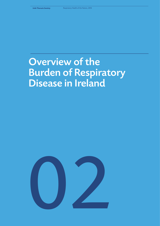# Overview of the Burden of Respiratory Disease in Ireland

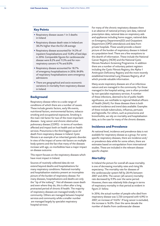# **Key Points**

- Respiratory disease causes 1 in 5 deaths in Ireland
- Respiratory disease death rates in Ireland are 38.2% higher than the EU-28 average
- Respiratory disease accounted for 14.3% of inpatient hospitalisations and 15.8% of bed days in 2016. Comparable figures for cardiovascular disease were 8.2% and 11.3% and for nonrespiratory cancers 4.7% and 8.0%
- Respiratory disease accounted for 18.7% of emergency hospitalisations in 2016. 84.8% of respiratory hospitalisations were emergency admissions
- There are geographical and socio-economic variations in mortality from respiratory disease in Ireland

# **Background**

Respiratory disease refers to a wide range of conditions of which there are a number of causes. These include genetic factors, early life events, nutritional factors, environmental factors, tobacco smoking and occupational exposures. Smoking is the main risk factor for two of the most important diseases - lung cancer and chronic obstructive pulmonary disease (COPD) - in terms of numbers affected and impact both on health and on health services. Pneumonia is the third biggest cause of death from respiratory disease in Ireland. Cystic fibrosis is an example of an inherited genetic disorder. In view of the impact of some risk factors on multiple body systems and the fact that many of the diseases increase with age, co-morbidities have a major impact on disease outcome.

This report focuses on the respiratory diseases which have most impact in Ireland.

Sources of routinely collected data do not extend beyond deaths and hospitalisations for many respiratory conditions. National mortality and hospitalisation statistics present an incomplete picture of the burden of respiratory disease. For many diseases, hospitalisations and deaths are only the "tip of the iceberg" *1* . Not all diseases cause death and even where they do, this is often after a long protracted period of chronic ill health. The majority of respiratory diseases are managed totally in the community. Others are managed between hospital services and community while a smaller number are managed largely by specialist respiratory hospital services.

For many of the chronic respiratory diseases there is an absence of national primary care data, national prescription data, national data on respiratory aids and appliances including home oxygen, national data on Emergency Department(ED) and Outpatient Department (OPD) attendances and data from private hospitals. These would provide a clearer picture of the burden of respiratory disease in Ireland at a population level. There are a few exceptions to this dearth of information. These include the National Cancer Registry (NCRI) and the National Cystic Fibrosis Newborn Screening Programme. In addition there are a number of voluntary patient registers including the Cystic Fibrosis Registry, the Alpha-1 Antitrypsin Deficiency Registry and the more recently established Interstitial Lung Diseases Registry, all of which provide valuable information.

Many acute respiratory diseases are of an infectious nature and are managed in the community. For those managed in the hospital setting, care is often provided by non specialist respiratory services. A number of these infections, deemed to be of public health significance, are notifiable to regional Medical officers of Health (MoH). For these diseases there is both national incidence and trend data available. Examples of these include tuberculosis, influenza, pertussis and legionella. For others, such as pneumonia and bronchiolitis, we rely on mortality and hospitalisation data, as is the case for many of the chronic diseases.

# **Incidence and Prevalence**

At national level, incidence and prevalence data is not available for respiratory disease as a group. For some specific respiratory diseases, there are incidence and/ or prevalence data while for some others, there are estimates based on extrapolation from international studies. These are included in the relevant disease specific chapter.

# **Mortality**

In Ireland the picture for overall all-cause mortality is one of decreasing mortality rates and rising life expectancy. The mortality rate for diseases of the cardiovascular system fell by 28.4% between 2007 and 2016. The cancer (all cancers) mortality rate decreased by 9.9% over the same period. However, there was relatively little change in terms of respiratory mortality in that period as evident in figure 2.1 below.

In 2016, the actual number of people who died from respiratory disease was 5,720 compared with 4,992 in 2007, an increase of 14.6% *2* . If lung cancer is excluded, the increase is 16.0%. Over the same decade the number of deaths from cardiovascular disease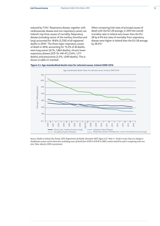reduced by 7.5%*<sup>2</sup>* . Respiratory disease, together with cardiovascular disease and non-respiratory cancer, are Ireland's top three causes of mortality. Respiratory disease (including cancer of the trachea, bronchus and lung) accounted for 18.8% (5,720) of all registered deaths in 2016*<sup>2</sup>* . The three major respiratory causes of death in 2016, accounting for 15.2% of all deaths, were lung cancer (6.1%, 1,864 deaths), chronic lower respiratory disease (ICD 10: J40-47) (5.6%, 1,711 deaths) and pneumonia (3.5%, 1,049 deaths). This is shown in table 2.1 overleaf.

When comparing Irish rates of principal causes of death with the EU-28 average, in 2014 the overall mortality rates in Ireland were lower than the EU-28 by 6.4% but rates of mortality from respiratory disease were higher in Ireland than the EU-28 average by 38.2%*<sup>2</sup>* .

# **Figure 2.1. Age-standardised death rates for selected causes, Ireland 2000-2016**



*Source: Health in Ireland, Key Trends, 2017, Department of Health, December 2017, Figure 2.6.2 Note: b - break in series. Due to a change in classification system used to determine underlying cause of death from ICD9 to ICD10 in 2007, caution should be used in comparing rates over time. Note: data for 2016 is provisional.*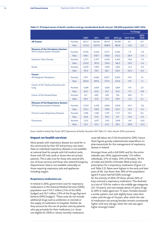|                                                                              |                       |                |                |                |                | % Change        |                  |
|------------------------------------------------------------------------------|-----------------------|----------------|----------------|----------------|----------------|-----------------|------------------|
|                                                                              |                       | 2007           | 2011           | 2015           | 2016(p)        | 2017-2016       | $2015 -$<br>2016 |
| <b>All Causes</b>                                                            | <b>Number</b>         | 28,117         | 28,456         | 30,127         | 30,389         | 8.1             | 0.9              |
|                                                                              | Rate                  | 1,151.6        | 1,037.8        | 1008.9         | 983.8          | $-14.6$         | $-2.5$           |
| <b>Diseases of the Circulatory System</b><br>All Circulatory System Diseases | <b>Number</b>         | 9,956          | 9,236          | 9,371          | 9,205          | $-7.5$          | $-1.8$           |
|                                                                              | Rate                  | 436.1          | 358.7          | 330.0          | 312.2          | $-28.4$         | $-5.4$           |
| <b>Ischaemic Heart Disease</b>                                               | <b>Number</b>         | 5,375          | 4,707          | 4,492          | 4,405          | $-18.0$         | $-1.9$           |
|                                                                              | Rate                  | 232.0          | 181.0          | 154.6          | 146.2          | $-37.0$         | $-5.4$           |
| <b>Stroke</b>                                                                | <b>Number</b>         | 2,078          | 1,993          | 1,920          | 1,825          | $-12.2$         | $-4.9$           |
|                                                                              | Rate                  | 93.0           | 78.4           | 68.7           | 63.0           | $-32.3$         | $-8.3$           |
| <b>Cancer</b><br>All Malignant Neoplasms                                     | <b>Number</b><br>Rate | 7,917<br>304.9 | 8,666<br>299.6 | 8,877<br>277.6 | 9,023<br>274.6 | 14.0<br>$-9.9$  | 1.6<br>$-1.1$    |
| Cancer of the Trachea, Bronchus and                                          |                       |                |                |                |                |                 |                  |
| Lung                                                                         | <b>Number</b>         | 1,668          | 1,850          | 1,828          | 1,864          | 11.8            | 2.0              |
|                                                                              | Rate                  | 63.2           | 63.6           | 56.7           | 56.2           | $-11.1$         | $-0.8$           |
| <b>Cancer of the Female Breast</b>                                           | <b>Number</b>         | 611            | 690            | 678            | 726            | 18.8            | 7.1              |
|                                                                              | Rate                  | 40.3           | 41.8           | 37.3           | 39.0           | $-3.4$          | 4.5              |
| <b>Diseases of the Respiratory System</b><br>All Respiratory System Diseases | Number<br>Rate        | 3,324<br>152.3 | 3,438<br>138.0 | 3,865<br>138.9 | 3,856<br>132.7 | 16.0<br>$-12.9$ | $-.02$<br>$-4.5$ |
| <b>Chronic Lower Respiratory Diseases</b>                                    | <b>Number</b>         | 1,496          | 1,504          | 1,701          | 1,711          | 14.4            | 0.6              |
|                                                                              | Rate                  | 64.8           | 57.8           | 59.0           | 57.1           | $-12.0$         | $-3.4$           |
| Pneumonia                                                                    | <b>Number</b>         | 1,125          | 1,057          | 1,165          | 1,049          | $-6.8$          | $-10.0$          |
|                                                                              | Rate                  | 55.5           | 45.4           | 44.3           | 38.4           | $-30.8$         | $-13.4$          |

#### **Table 2.1. Principal causes of death: numbers and age-standardised death rate per 100,000 population 2007-2016**

.<br>Source: Health in Ireland, Key Trends, 2017, Department of Health, December 2017. Table 2.4<sup>2</sup>. Note: data for 2016 is provisional

## **Impact on health services**

Most people with respiratory disease are cared for in the community by their GP and primary care team. Data on individual respiratory diseases is not available at national level for people with full medical cards, those with GP only cards or those who are private patients. This is also true for those who attend GPs, out of hours services and those who attend Emergency Departments. Data is not available nationally on those requiring respiratory aids and appliances including oxygen.

#### *Respiratory medication use*

In Ireland in 2016, government cost for respiratory medications in the General Medical Services (GMS) population was  $€113.7$  million (11% of the GMS budget) and 10.7 million (12% of the Drugs Payment Scheme (DPS) budget)*<sup>3</sup>* . These costs do not include additional drugs such as antibiotics or steroids or the supply of medication in hospitals. Neither do they account for the out-of-pocket costs by patients who pay privately for their medication (i.e. those not eligible for GMS or whose monthly medication

costs fall below the  $E$ 134 threshold for DPS). Hence these figures grossly underestimate expenditure on pharmaceuticals for the management of respiratory disease in Ireland.

Amongst those with a full GMS card for the entire calendar year 2016, (approximately 1.53 million individuals, 31% of males, 34% of females), 19.3% of males and 20.6% of females filled at least one prescription for a respiratory medication (Figure 2.2 and Table 2.2). Rates were highest in the early and later years of life. Just fewer than 30% of the population aged 0-4 years had full GMS coverage for the entirety of 2016. Of these, almost 26% of boys received a respiratory medication. This declined to a low of 12% for males in the middle age categories (25- 45 years), and rose steeply above 55 years of age to 28% in males aged over 75 years. Females showed a similar pattern, but with slightly lower rates than males until the age of 16 years, after which the rate of medication use among females remains consistently higher until very old age, when the rate was again higher amongst males*<sup>4</sup>* .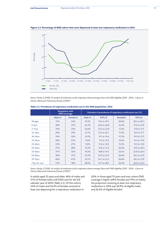

**Figure 2.2. Percentage of GMS cohort that were dispensed at least one respiratory medication in 2016**

*Source: Hurley, E (2018). An analysis of medication use for respiratory disease amongst those with GMS eligibility (2015 - 2016) - a focus on Chronic Obstructive Pulmonary Disease (COPD)4 .*

|               |            | <b>Population with</b><br><b>GMS</b> coverage |        | Estimate of prevalence of respiratory medication use (%) |         |              |
|---------------|------------|-----------------------------------------------|--------|----------------------------------------------------------|---------|--------------|
|               | Male $%$   | Female %                                      | Male % | 95% CI                                                   | Female% | 95% CI       |
| All ages      | 31%        | 34%                                           | 19.3%  | 19.2 to 19.4                                             | 20.6%   | 20.5 to 20.7 |
| $0-4yrs$      | 28%        | 27%                                           | 26.4%  | 26.0 to 26.8                                             | 21.4%   | 21.0 to 21.8 |
| $5-11$ yrs    | 35%        | 35%                                           | 22.6%  | 22.3 to 22.8                                             | 17.2%   | 17.0 to 17.5 |
| $12 - 15$ yrs | 29%        | 29%                                           | 21.7%  | 21.3 to 22.1                                             | 17.3%   | 16.9 to 17.7 |
| $16 - 24$ yrs | 24%        | 26%                                           | 14.3%  | 14.1 to 14.6                                             | 15.2%   | 14.9 to 15.5 |
| $25 - 34$ yrs | 20%        | 25%                                           | 11.6%  | 11.3 to 11.8                                             | 14.6%   | 14.3 to 14.9 |
| 35-44yrs      | 23%        | 27%                                           | 11.8%  | 11.6 to 12.0                                             | 15.5%   | 15.3 to 15.8 |
| 45-54yrs      | 27%        | 28%                                           | 14.3%  | 14.0 to 14.5                                             | 20.2%   | 19.9 to 20.4 |
| 55-64yrs      | <b>31%</b> | 32%                                           | 19.2%  | 18.8 to 19.5                                             | 26.1%   | 25.8 to 26.4 |
| 65-69yrs      | 40%        | 47%                                           | 23.5%  | 23.9 to 23.9                                             | 26.6%   | 26.2 to 27.0 |
| 70-74yrs      | 60%        | 67%                                           | 25.1%  | 24.7 to 25.5                                             | 26.6%   | 26.2 to 27.0 |
| 75yrs & over  | 75%        | 78%                                           | 28.0%  | 27.7 to 28.3                                             | 26.3%   | 26.0 to 26.6 |

#### **Table 2.2. Prevalence of respiratory medication use in the GMS population, 2016**

*Source: Hurley, E (2018). An analysis of medication use for respiratory disease amongst those with GMS eligibility (2015 - 2016) - a focus on Chronic Obstructive Pulmonary Disease (COPD)4 .* 

In adults aged 55 years and older, 46% of males and 51% of females held a full GMS card for the full calendar year of 2016 (Table 2.3). Of this cohort, 24% of males and 26.4% of females received at least one dispensing for a respiratory medication in

2016. In those aged 70 years and over, where GMS coverage is higher (69% females and 74% of males), the proportion receiving at least one respiratory medication in 2016 was 26.9% of eligible males and 26.4% of eligible females*<sup>4</sup>* .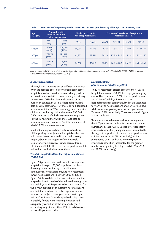| Age<br>category |                  | <b>Population with</b><br><b>GMS</b> coverage and<br>% of Irish population | <b>Filled at least one Rx</b><br>for a resp medication |        | <b>Estimate of prevalence of respiratory</b><br>medication use (%) |              |       |              |
|-----------------|------------------|----------------------------------------------------------------------------|--------------------------------------------------------|--------|--------------------------------------------------------------------|--------------|-------|--------------|
|                 | Male<br>(%)      | Female<br>(%)                                                              | Male                                                   | Female | Male%                                                              | 95% CI       | Ferm% | 95% CI       |
| $\geq$ 55 yrs   | 250,430<br>(46%) | 306,648<br>$(51\%)$                                                        | 60,035                                                 | 80,868 | 24.0%                                                              | 23.8 to 24.1 | 26.4% | 26.2 to 26.5 |
| $\geq 65$ yrs   | 173,505<br>(58%) | 224,773<br>$(66\%)$                                                        | 45,272                                                 | 59,511 | 26.1%                                                              | 25.9 to 26.3 | 26.5% | 26.3 to 26.7 |
| $\geq$ 70yrs    | 131,889<br>(69%) | 174,516<br>(74%)                                                           | 35,512                                                 | 46,132 | 26.9%                                                              | 26.7 to 27.2 | 26.4% | 26.2 to 26.7 |

#### **Table 2.3. Prevalence of respiratory medication use in the GMS population by older age stratifications, 2016**

*Source: Hurley, E (2018). An analysis of medication use for respiratory disease amongst those with GMS eligibility (2015 - 2016) - a focus on Chronic Obstructive Pulmonary Disease (COPD)4 .* 

#### *Impact on Hospitals*

Although OPD numbers can be difficult to interpret given the absence of respiratory specialists in some hospitals, variations in admission/discharge/followup practices and variations in community or primary care services, OPD data does reflect some of the burden on services. In 2016, 35 hospitals provided data on OPD attendances. Of these, 18 had dedicated respiratory clinics. In 2016, between general medicine clinics and respiratory clinics, there were 233,344 OPD attendances of which 19.9% were new patients. For the 18 hospitals for which there was data on respiratory clinics, there were 72,851 attendances of which 22.7% were new patients *<sup>5</sup>* .

Inpatient and day case data is only available from HIPE reporting publicly funded hospitals – this data is discussed below. As noted in the methodology chapter, data on the majority of the notifiable respiratory infectious diseases was accessed from CIDR and not HIPE. Therefore the hospitalisation data below does not include most of these.

# *Trends in hospitalisations for respiratory disease, 2009-2016*

Figure 2.3 presents data on the number of inpatient hospitalisations per 100,000 population for three disease groups - respiratory hospitalisations, cardiovascular hospitalisations, and non-respiratory cancer hospitalisations - between 2009 and 2016. Figure 2.4 shows data on the proportion of inpatient hospitalisations for each of these three disease groups and bed days used. Respiratory disease accounted for the highest proportion of inpatient hospitalisations and bed days used and this relative proportion has increased steadily in recent years as shown in figure 2.4. In 2016, 14% of those hospitalised as inpatients in publicly funded HIPE reporting hospitals had a respiratory condition as the primary diagnosis accounting for just fewer than 16% of bed days used across all inpatient activity.

## *Hospitalisations (day cases and inpatients), 2016*

 In 2016, respiratory disease accounted for 112,515 hospitalisations and 598,443 bed days (including day cases). This represented 6.6% of all hospitalisations and 12.7% of bed days. By comparison, hospitalisations for cardiovascular disease accounted for 4.3% of all hospitalisations and 9.2% of bed days while for non-respiratory cancers the figures were 7.4% and 8.3% respectively. These are shown in figure 2.5 and table 2.4.

When respiratory diseases are looked at in greater detail (figure 2.6 and table 2.5), chronic obstructive pulmonary disease (COPD), acute lower respiratory infection (unspecified) and pneumonia accounted for the highest proportion of respiratory hospitalisations (15.5%, 14.8% and 11.7% respectively), while pneumonia, COPD and acute lower respiratory infection (unspecified) accounted for the greatest number of respiratory bed days used (21.5%, 21.1% and 17.3% respectively).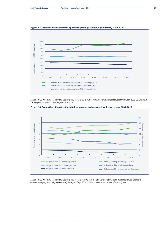

### **Figure 2.3. Inpatient hospitalisations by disease group, per 100,000 population, 2009-2016**

*Source: HIPE 2009-2016 - all hospitals reporting data to HIPE. Census 2011 population estimates used to standardise years 2009-2013; Census 2016 population estimates used for years 2014-2016.* 





*Source: HIPE 2009-2016 - all hospitals reporting data to HIPE over the period. Note: Denominator includes all inpatient hospitalisations (elective, emergency, maternity and newborn). See Appendix for ICD-10 codes included in the creation of disease groups.*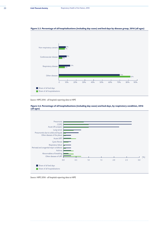

#### **Figure 2.5. Percentage of all hospitalisations (including day cases) and bed days by disease group, 2016 (all ages)**

*Source: HIPE 2016 - all hospitals reporting data to HIPE*



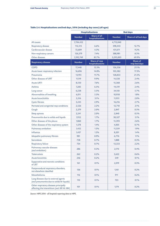|                                                                                       | <b>Hospitalisations</b> |                                         | <b>Bed days</b> |                           |  |
|---------------------------------------------------------------------------------------|-------------------------|-----------------------------------------|-----------------|---------------------------|--|
|                                                                                       | <b>Number</b>           | <b>Share of all</b><br>hospitalisations | <b>Number</b>   | Share of all bed days     |  |
| All causes                                                                            | 1,704,452               |                                         | 4,712,040       |                           |  |
| Respiratory disease                                                                   | 112,515                 | 6.6%                                    | 598,443         | 12.7%                     |  |
| Cardiovascular disease                                                                | 72,609                  | 4.3%                                    | 431,611         | 9.2%                      |  |
| Non-respiratory cancers                                                               | 126,579                 | 7.4%                                    | 388,981         | 8.3%                      |  |
| Other diseases                                                                        | 1,392,749               | 81.7%                                   | 3,293,005       | 69.9%                     |  |
| <b>Respiratory disease</b>                                                            | <b>Number</b>           | Share of resp<br>hospitalisations       | <b>Number</b>   | Share of<br>resp bed days |  |
| <b>COPD</b>                                                                           | 17,448                  | 15.5%                                   | 126,336         | 21.1%                     |  |
| Acute lower respiratory infection                                                     | 16,696                  | 14.8%                                   | 103,582         | 17.3%                     |  |
| Pneumonia                                                                             | 13,193                  | 11.7%                                   | 128,833         | 21.5%                     |  |
| Other diseases of URT                                                                 | 11,119                  | 9.9%                                    | 14,530          | 2.4%                      |  |
| <b>Acute URTI</b>                                                                     | 8,550                   | 7.6%                                    | 15,368          | 2.6%                      |  |
| Asthma                                                                                | 7,283                   | 6.5%                                    | 14,519          | 2.4%                      |  |
| Lung cancer                                                                           | 6,238                   | 5.5%                                    | 34,150          | 5.7%                      |  |
| Abnormalities of breathing                                                            | 6,011                   | 5.3%                                    | 10,950          | 1.8%                      |  |
| Acute bronchiolitis                                                                   | 3,516                   | 3.1%                                    | 11,951          | 2.0%                      |  |
| <b>Cystic fibrosis</b>                                                                | 3,245                   | 2.9%                                    | 16,216          | 2.7%                      |  |
| Perinatal and congenital resp conditions                                              | 2,526                   | 2.2%                                    | 12,710          | 2.1%                      |  |
| Cough                                                                                 | 2,279                   | 2.0%                                    | 2,847           | 0.5%                      |  |
| Sleep apnoea                                                                          | 2,241                   | 2.0%                                    | 2,840           | 0.5%                      |  |
| Pneumonitis due to solids and liquids                                                 | 1,952                   | 1.7%                                    | 30,327          | 5.1%                      |  |
| Other diseases of the pleura                                                          | 1,860                   | 1.7%                                    | 15,393          | 2.6%                      |  |
| Other diseases of the respiratory system                                              | 1,578                   | 1.4%                                    | 4,005           | 0.7%                      |  |
| Pulmonary embolism                                                                    | 1,452                   | 1.3%                                    | 11,359          | 1.9%                      |  |
| Influenza                                                                             | 1,437                   | 1.3%                                    | 8,201           | 1.4%                      |  |
| Idiopathic pulmonary fibrosis                                                         | 981                     | 0.9%                                    | 6,776           | 1.1%                      |  |
| Sarcoidosis                                                                           | 758                     | 0.7%                                    | 1,888           | 0.3%                      |  |
| Respiratory failure                                                                   | 734                     | 0.7%                                    | 13,333          | 2.2%                      |  |
| Pulmonary vascular diseases<br>(excl embolism)                                        | 286                     | 0.3%                                    | 2,170           | 0.4%                      |  |
| <b>Tuberculosis</b>                                                                   | 262                     | 0.2%                                    | 3,622           | 0.6%                      |  |
| <b>Acute bronchitis</b>                                                               | 246                     | 0.2%                                    | 549             | 0.1%                      |  |
| Suppurative and necrotic conditions<br>of LRT                                         | 161                     | 0.1%                                    | 2,019           | 0.3%                      |  |
| Postprocedural respiratory disorders,<br>not elsewhere classified                     | 136                     | 0.1%                                    | 1,161           | 0.2%                      |  |
| Mesothelioma                                                                          | 116                     | 0.1%                                    | 911             | 0.2%                      |  |
| Lung diseases due to external agents<br>(excl pneumonitis due to solids & liquids)    | 110                     | 0.1%                                    | 723             | 0.1%                      |  |
| Other respiratory diseases principally<br>affecting the interstitium (excl J81 & J84) | 101                     | 0.1%                                    | 1,174           | 0.2%                      |  |

# **Table 2.4. Hospitalisations and bed days, 2016 (including day cases) (all ages)**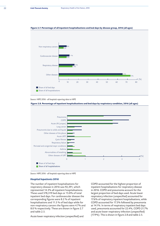

#### **Figure 2.7. Percentage of all inpatient hospitalisations and bed days by disease group, 2016 (all ages)**

*Source: HIPE 2016 - all hospitals reporting data to HIPE* 



**Figure 2.8. Percentage of inpatient hospitalisations and bed days by respiratory condition, 2016 (all ages)**

*Source: HIPE 2016 - all hospitals reporting data to HIPE* 

## *Hospital Inpatients 2016*

The number of inpatient hospitalisations for respiratory disease in 2016 was 92,391, which represented 14.3% all inpatient hospitalisations. These used 578,319 bed days or 15.8% of total inpatient bed days. For cardiovascular disease the corresponding figures were 8.2 % of inpatient hospitalisations and 11.3 % of bed days while for non-respiratory cancers the figures were 4.7% and 8.0 % respectively. These are shown in figure 2.7 and table 2.5.

Acute lower respiratory infection (unspecified) and

COPD accounted for the highest proportion of inpatient hospitalisations for respiratory disease in 2016. COPD and pneumonia account for the largest proportion of bed days used. Acute lower respiratory infection (unspecified) accounted for 17.6% of respiratory inpatient hospitalisations, while COPD accounted for 17.3% followed by pneumonia at 14.1%. In terms of respiratory inpatient bed days used, pneumonia accounted for 22.4%, COPD 21.7% and acute lower respiratory infection (unspecified) (17.9%). This is shown in figure 2.8 and table 2.5.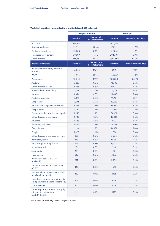# **Table 2.5. Inpatient hospitalisations and bed days, 2016 (all ages)**

|                                                                                          | <b>Hospitalisations</b> |                                         | <b>Bed days</b> |                        |  |  |
|------------------------------------------------------------------------------------------|-------------------------|-----------------------------------------|-----------------|------------------------|--|--|
|                                                                                          | <b>Number</b>           | <b>Share of all</b><br>hospitalisations | <b>Number</b>   | Share of all bed days  |  |  |
| All causes                                                                               | 643,850                 |                                         | 3,651,438       |                        |  |  |
| Respiratory disease                                                                      | 92,391                  | 14.3%                                   | 578,319         | 15.8%                  |  |  |
| Cardiovascular disease                                                                   | 53,008                  | 8.2%                                    | 412,010         | 11.3%                  |  |  |
| Non-respiratory cancers                                                                  | 30,099                  | 4.7%                                    | 292,501         | 8.0%                   |  |  |
| Other diseases                                                                           | 468,352                 | 72.7%                                   | 2,368,608       | 64.9%                  |  |  |
| <b>Respiratory disease</b>                                                               | <b>Number</b>           | Share of resp<br>hospitalisations       | <b>Number</b>   | Share of resp bed days |  |  |
| Acute lower respiratory infection<br>(unspec)                                            | 16,245                  | 17.6%                                   | 103,131         | 17.9%                  |  |  |
| <b>COPD</b>                                                                              | 15,959                  | 17.3%                                   | 124,847         | 21.7%                  |  |  |
| Pneumonia                                                                                | 13,048                  | 14.1%                                   | 128,688         | 22.4%                  |  |  |
| <b>Acute URTI</b>                                                                        | 8,288                   | 9.0%                                    | 15,106          | 2.6%                   |  |  |
| Other diseases of URT                                                                    | 6,266                   | 6.8%                                    | 9,677           | 1.7%                   |  |  |
| Abnormalities of breathing                                                               | 5,184                   | 5.6%                                    | 10,123          | 1.8%                   |  |  |
| Asthma                                                                                   | 4,394                   | 4.8%                                    | 11,630          | 2.0%                   |  |  |
| Acute bronchiolitis                                                                      | 3,476                   | 3.8%                                    | 11,911          | 2.1%                   |  |  |
| Lung cancer                                                                              | 2,671                   | 2.9%                                    | 30,583          | 5.3%                   |  |  |
| Perinatal and congenital resp conds                                                      | 2,468                   | 2.7%                                    | 12,652          | 2.2%                   |  |  |
| Sleep apnoea                                                                             | 2,167                   | 2.3%                                    | 2,766           | 0.5%                   |  |  |
| Pneumonitis due to solids and liquids                                                    | 1,946                   | 2.1%                                    | 30321           | 5.3%                   |  |  |
| Other diseases of the pleura                                                             | 1,703                   | 1.8%                                    | 15,236          | 2.6%                   |  |  |
| Influenza                                                                                | 1,428                   | 1.5%                                    | 8,192           | 1.4%                   |  |  |
| Pulmonary embolism                                                                       | 1,426                   | 1.5%                                    | 11,333          | 2.0%                   |  |  |
| <b>Cystic fibrosis</b>                                                                   | 1,110                   | 1.2%                                    | 14,081          | 2.4%                   |  |  |
| Cough                                                                                    | 1,022                   | 1.1%                                    | 1,590           | 0.3%                   |  |  |
| Other diseases of the respiratory syst                                                   | 839                     | 0.9%                                    | 3,266           | 0.6%                   |  |  |
| Respiratory failure                                                                      | 733                     | 0.8%                                    | 13,332          | 2.3%                   |  |  |
| Idiopathic pulmonary fibrosis                                                            | 657                     | 0.7%                                    | 6,452           | 1.1%                   |  |  |
| Acute bronchitis                                                                         | 236                     | 0.3%                                    | 539             | 0.1%                   |  |  |
| Sarcoidosis                                                                              | 234                     | 0.3%                                    | 1,364           | 0.2%                   |  |  |
| Tuberculosis                                                                             | 212                     | 0.2%                                    | 3,572           | 0.6%                   |  |  |
| Pulmonary vascular diseases<br>(excl emb)                                                | 211                     | 0.2%                                    | 2,095           | 0.4%                   |  |  |
| Suppurative & necrotic conditions<br>of LRT                                              | 140                     | 0.2%                                    | 1,998           | 0.3%                   |  |  |
| Postprocedural respiratory disorders,<br>not elsewhere classified                        | 130                     | 0.1%                                    | 1,155           | 0.2%                   |  |  |
| Lung diseases due to external agents<br>(excl pneumonitis due to solids & liq)           | 85                      | 0.1%                                    | 698             | 0.1%                   |  |  |
| Mesothelioma                                                                             | 61                      | 0.1%                                    | 856             | 0.1%                   |  |  |
| Other respiratory diseases principally<br>affecting the interstitium<br>(excl J81 & J84) | 52                      | 0.1%                                    | 1,125           | 0.2%                   |  |  |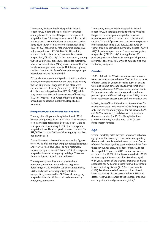The Activity in Acute Public Hospitals in Ireland report for 2016 listed three respiratory conditions among its top 10 Principal Diagnoses for inpatient hospitalisations. Following spontaneous delivery, pain in throat and chest and delivery by caesarean section came acute lower respiratory infection (unspecified) (ICD 10: J22) followed by "other chronic obstructive pulmonary disease (ICD 10: J44)" in 4th and 5th place and in 8th place came "pneumonia organism unspecified (ICD 10: J18)". In the same report, among the top 20 principal procedures blocks for inpatients, non-invasive ventilation (NIV) was at number 11 while ventilatory support was number 17, followed by sleep studies at number 18. Five of the top twenty principal procedures related to childbirth *<sup>6</sup>* .

Of the elective inpatient hospitalisations in the above report, four respiratory conditions were listed among the top 20 principal diagnoses. In 3rd place were chronic diseases of tonsils/adenoids (ICD 10: J35), in 4th place were sleep disorders (ICD 10: G47), while lung cancer was 12th and abnormalities of breathing (ICD 10: R06) was 16th. Among the top principal procedures on elective inpatients, sleep studies were 4th*<sup>6</sup>* .

#### *Emergency Inpatient Hospitalisations 2016*

The majority of inpatient hospitalisations in 2016 were as emergencies. In 2016, of the 92,391 inpatient respiratory hospitalisations, 84.8% (78,364) were as emergencies, representing 18.7% of all emergency hospitalisations. These hospitalisations accounted for 519,587 bed days or 20.1% of all emergency inpatient bed days in 2016.

For cardiovascular disease the corresponding figures were 10.7% of all emergency inpatient hospitalisations and 14.3% of bed days used. For non-respiratory cancers the figures were 2.9% and 5.7% of emergency hospitalisations and emergency bed days. These are shown in figures 2.9 and table 2.6 below.

The respiratory conditions which necessitated emergency inpatient care are shown in greater detail in figure 2.10 and table 2.6 below. Pneumonia, COPD and acute lower respiratory infection (unspecified) accounted for 10.5% of all emergency hospitalisations and 13.3% of all bed days used by emergency admissions.

The Activity in Acute Public Hospitals in Ireland report for 2016 listed among its top three Principal Diagnoses for emergency hospitalisations two respiratory conditions i.e. after pain in throat and chest in 2<sup>nd</sup> and 3<sup>rd</sup> place came acute lower respiratory infection (unspecified)(ICD 10: J22), followed by "other chronic obstructive pulmonary disease (ICD 10: J44)". In joint 4th place came "pneumonia organism unspecified (ICD 10: J18)". Among the top 20 principal procedures blocks for emergency inpatients, at number seven was NIV while at number nine was ventilatory support*<sup>6</sup>* .

# **Gender**

18.8% of deaths in 2016 in both males and females were due to respiratory disease. The respiratory cause of death varied by gender. In males, 6.6% of deaths were due to lung cancer, followed by chronic lower respiratory disease at 5.6% and pneumonia at 2.9%. For females the order was the same although the percentage was different ie lung cancer 5.7%, chronic lower respiratory disease 5.6% and pneumonia 4.0%.

In 2016, 5.4% of hospitalisations in females were for respiratory causes - this rose to 10.8% for inpatients only. The corresponding figures for males were 6.7% and 16.5%. In terms of bed days used, respiratory disease accounted for 13.1% of hospitalisations (16.9% inpatients) in males and 13.5 % (10.9% inpatients) in females.

# **Age**

Overall mortality rates can mask variations between age groups. The majority of deaths from respiratory disease are in people aged 65 years and over. Causes of death for those aged 65 years and over differ from those in younger ages. As evident in figure 2.11, for those aged 0-64 years, in 2016 respiratory disease accounted for 12.6% of deaths compared with 20.1% for those aged 65 years and older. For those aged 0-64 years, cancer of the trachea, bronchus and lung accounted for 7.3% of all deaths followed by chronic lower respiratory disease (2.1%) and pneumonia (1.1%). For those aged 65 years and older chronic lower respiratory disease accounted for 6.1% of all deaths, followed by cancer of the trachea, bronchus and lung at 5.5% and pneumonia (3.8%)*<sup>2</sup>* .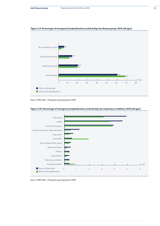

## **Figure 2.9. Percentage of emergency hospitalisations and bed days by disease group, 2016 (all ages)**

*Source: HIPE 2016 - all hospitals reporting data to HIPE*





*Source: HIPE 2016 - all hospitals reporting data to HIPE*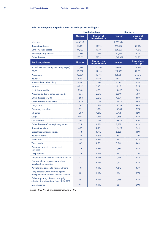# **Table 2.6. Emergency hospitalisations and bed days, 2016 (all ages)**

|                                                                                       | <b>Hospitalisations</b> |                                         | <b>Bed days</b> |                                 |  |
|---------------------------------------------------------------------------------------|-------------------------|-----------------------------------------|-----------------|---------------------------------|--|
|                                                                                       | <b>Number</b>           | <b>Share of all</b><br>hospitalisations | <b>Number</b>   | <b>Share of all</b><br>bed days |  |
| All causes                                                                            | 418,396                 |                                         | 2,583,474       |                                 |  |
| Respiratory disease                                                                   | 78,364                  | 18.7%                                   | 519,587         | 20.1%                           |  |
| Cardiovascular disease                                                                | 44,932                  | 10.7%                                   | 368,635         | 14.3%                           |  |
| Non-respiratory cancers                                                               | 11,929                  | 2.9%                                    | 147,915         | 5.7%                            |  |
| Other diseases                                                                        | 283,171                 | 67.7%                                   | 1,547,337       | 59.9%                           |  |
| <b>Respiratory disease</b>                                                            | <b>Number</b>           | Share of resp<br>hospitalisations       | <b>Number</b>   | Share of resp<br>bed days       |  |
| Acute lower respiratory infection (unspec)                                            | 15,879                  | 20.3%                                   | 99,667          | 19.2%                           |  |
| <b>COPD</b>                                                                           | 15,262                  | 19.5%                                   | 117,626         | 22.6%                           |  |
| Pneumonia                                                                             | 12,821                  | 16.4%                                   | 125,654         | 24.2%                           |  |
| <b>Acute URTI</b>                                                                     | 8,148                   | 10.4%                                   | 14,815          | 2.9%                            |  |
| Abnormalities of breathing                                                            | 4,301                   | 5.5%                                    | 8756            | 1.7%                            |  |
| Asthma                                                                                | 4,252                   | 5.4%                                    | 11,119          | 2.1%                            |  |
| Acute bronchiolitis                                                                   | 3,140                   | 4.0%                                    | 10,497          | 2.0%                            |  |
| Pneumonitis due to solids and liquids                                                 | 1,935                   | 2.5%                                    | 30,119          | 5.8%                            |  |
| Other diseases of URT                                                                 | 1,698                   | 2.2%                                    | 4,094           | 0.8%                            |  |
| Other diseases of the pleura                                                          | 1,529                   | 2.0%                                    | 13,672          | 2.6%                            |  |
| Lung cancer                                                                           | 1,507                   | 1.9%                                    | 18,716          | 3.6%                            |  |
| Pulmonary embolism                                                                    | 1,391                   | 1.8%                                    | 10,983          | 2.1%                            |  |
| Influenza                                                                             | 1,389                   | 1.8%                                    | 7,791           | 1.5%                            |  |
| Cough                                                                                 | 981                     | 1.3%                                    | 1,445           | 0.3%                            |  |
| <b>Cystic fibrosis</b>                                                                | 790                     | 1.0%                                    | 10,988          | 2.1%                            |  |
| Other diseases of the respiratory system                                              | 725                     | 0.9%                                    | 2,732           | 0.5%                            |  |
| Respiratory failure                                                                   | 697                     | 0.9%                                    | 12,498          | 2.4%                            |  |
| Idiopathic pulmonary fibrosis                                                         | 518                     | 0.7%                                    | 5,250           | 1.0%                            |  |
| <b>Acute bronchitis</b>                                                               | 233                     | 0.3%                                    | 533             | 0.1%                            |  |
| Sarcoidosis                                                                           | 190                     | 0.2%                                    | 961             | 0.2%                            |  |
| <b>Tuberculosis</b>                                                                   | 182                     | 0.2%                                    | 3,046           | 0.6%                            |  |
| Pulmonary vascular diseases (excl<br>embolism)                                        | 175                     | 0.2%                                    | 1,715           | 0.3%                            |  |
| Sleep apnoea                                                                          | 124                     | 0.2%                                    | 357             | 0.1%                            |  |
| Suppurative and necrotic conditions of LRT                                            | 117                     | 0.1%                                    | 1,768           | 0.3%                            |  |
| Postprocedural respiratory disorders,<br>not elsewhere classified                     | 115                     | 0.1%                                    | 1,092           | 0.2%                            |  |
| Perinatal and congenital resp conditions                                              | 101                     | 0.1%                                    | 1,378           | 0.3%                            |  |
| Lung diseases due to external agents<br>(excl pneumonitis due to solids & liquids)    | 72                      | 0.1%                                    | 595             | 0.1%                            |  |
| Other respiratory diseases principally<br>affecting the interstitium (excl J81 & J84) | 48                      | 0.1%                                    | 1,036           | 0.2%                            |  |
| Mesothelioma                                                                          | 44                      | 0.1%                                    | 684             | 0.1%                            |  |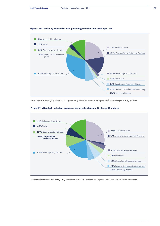#### **Figure 2.11a Deaths by principal causes, percentage distribution, 2016 ages 0-64**



Source Health in Ireland, Key Trends, 2017, Department of Health, December 2017 Figures 2.4a<sup>2</sup>. Note: data for 2016 is provisional.





Source Health in Ireland, Key Trends, 2017, Department of Health, December 2017 Figures 2.4b<sup>2</sup>. Note: data for 2016 is provisional.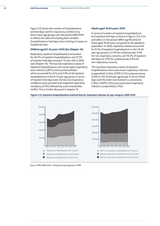Figure 2.12 shows the number of hospitalisations and bed days used for respiratory conditions by three major age groups over the period 2009-2016. It reflects the value of including both variables (hospitalisations, bed days) when looking at impact on hospital services.

## *Children aged 0-15 years: 2016 (See Chapter 14)*

Respiratory inpatient hospitalisations accounted for 26.7% of inpatient hospitalisations and 21.7% of inpatient bed days among 0-15 year olds in 2016 (see Chapter 14). The top two respiratory causes of inpatient hospitalisations were acute upper respiratory tract infection (URTI) and acute bronchiolitis which accounted for 6.1% and 3.9% of all inpatient hospitalisations in the 0-15 year age group. In terms of inpatient bed days used, the top two respiratory conditions were perinatal and congenital respiratory conditions (4.3%) followed by acute bronchiolitis (4.0%). This is further discussed in chapter 14.

#### *Adults aged 16-64 years: 2016*

In terms of number of inpatient hospitalisations and inpatient bed days as shown in figures 2.13, 2.14 and table 2.7, the picture differs significantly for those aged 16-64 years compared to the paediatric population. In 2016, respiratory disease accounted for 8.5% of inpatient hospitalisations in the 16-64 year age group (vs 5.4% for cardiovascular, 4.3% for non-respiratory cancers), and 10.2% of inpatient bed days (vs 7.9% for cardiovascular, 9.4% for non-respiratory cancers).

The top three respiratory causes of inpatient hospitalisations were acute lower respiratory infection (unspecified) (1.4%), COPD (1.1%) and pneumonia (1.0%) in the 16-64 year age group. In terms of bed days used the order was reversed i.e. pneumonia (1.8%), COPD (1.6%) and acute lower respiratory infection (unspecified) (1.4%).



#### **Figure 2.12. Inpatient hospitalisations and bed days by respiratory disease, by age category, 2009-2016**

*Source: HIPE 2009-2016 - all hospitals reporting data to HIPE*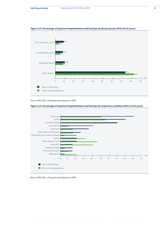

## **Figure 2.13. Percentage of inpatient hospitalisations and bed days by disease group, 2016 (16-64 years)**

*Source: HIPE 2016 - all hospitals reporting data to HIPE* 

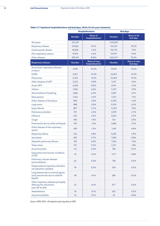|                                                                                          | <b>Hospitalisations</b> |                                   | <b>Bed days</b> |                           |  |
|------------------------------------------------------------------------------------------|-------------------------|-----------------------------------|-----------------|---------------------------|--|
|                                                                                          | <b>Number</b>           | Share of<br>hospitalisations      | <b>Number</b>   | Share of all<br>bed days  |  |
| All causes                                                                               | 351,219                 |                                   | 1,410,697       |                           |  |
| Respiratory disease                                                                      | 29,826                  | 8.5%                              | 143,321         | 10.2%                     |  |
| Cardiovascular disease                                                                   | 18,960                  | 5.4%                              | 110,754         | 7.9%                      |  |
| Non-respiratory cancers                                                                  | 15,014                  | 4.3%                              | 131,911         | 9.4%                      |  |
| Other diseases                                                                           | 287,419                 | 81.8%                             | 1,024,711       | 72.6%                     |  |
| <b>Respiratory disease</b>                                                               | <b>Number</b>           | Share of resp<br>hospitalisations | <b>Number</b>   | Share of resp<br>bed days |  |
| Acute lower respiratory infection<br>(unspec)                                            | 4,910                   | 16.5%                             | 19,491          | 13.6%                     |  |
| <b>COPD</b>                                                                              | 3,961                   | 13.3%                             | 22,815          | 15.9%                     |  |
| Pneumonia                                                                                | 3,455                   | 11.6%                             | 25,005          | 17.4%                     |  |
| Other diseases of URT                                                                    | 3,273                   | 11.0%                             | 5,155           | 3.6%                      |  |
| <b>Acute URTI</b>                                                                        | 2,658                   | 8.9%                              | 4,941           | 3.4%                      |  |
| Asthma                                                                                   | 1,966                   | 6.6%                              | 5,572           | 3.9%                      |  |
| Abnormalities of breathing                                                               | 1,866                   | 6.3%                              | 3,067           | 2.1%                      |  |
| Sleep apnoea                                                                             | 1,265                   | 4.2%                              | 1,553           | $1.1\%$                   |  |
| Other diseases of the pleura                                                             | 896                     | 3.0%                              | 6,430           | 4.5%                      |  |
| Lung cancer                                                                              | 888                     | 3.0%                              | 9,294           | 6.5%                      |  |
| <b>Cystic fibrosis</b>                                                                   | 807                     | 2.7%                              | 11,394          | 7.9%                      |  |
| Pulmonary embolism                                                                       | 701                     | 2.4%                              | 3,929           | 2.7%                      |  |
| Influenza                                                                                | 653                     | 2.2%                              | 3,635           | 2.5%                      |  |
| Cough                                                                                    | 484                     | 1.6%                              | 724             | 0.5%                      |  |
| Pneumonitis due to solids and liquids                                                    | 419                     | 1.4%                              | 5,866           | 4.1%                      |  |
| Other diseases of the respiratory<br>system                                              | 399                     | 1.3%                              | 1,148           | 0.8%                      |  |
| Respiratory failure                                                                      | 242                     | 0.8%                              | 4,205           | 2.9%                      |  |
| Sarcoidosis                                                                              | 203                     | 0.7%                              | 1,096           | 0.8%                      |  |
| Idiopathic pulmonary fibrosis                                                            | 185                     | 0.6%                              | 1,762           | 1.2%                      |  |
| <b>Tuberculosis</b>                                                                      | 157                     | 0.5%                              | 2,511           | 1.8%                      |  |
| <b>Acute bronchitis</b>                                                                  | 131                     | 0.4%                              | 198             | 0.1%                      |  |
| Suppurative and necrotic conditions<br>of LRT                                            | 76                      | 0.3%                              | 1,177           | 0.8%                      |  |
| Pulmonary vascular diseases<br>(excl embolism)                                           | 65                      | 0.2%                              | 738             | 0.5%                      |  |
| Postprocedural respiratory disorders,<br>not elsewhere classified                        | 59                      | 0.2%                              | 350             | 0.2%                      |  |
| Lung diseases due to external agents<br>(excl pneumonitis due to solids &<br>liquids)    | 38                      | 0.1%                              | 284             | 0.2%                      |  |
| Other respiratory diseases principally<br>affecting the interstitium<br>(excl J81 & J84) | 35                      | 0.1%                              | 677             | 0.5%                      |  |
| Mesothelioma                                                                             | 18                      | 0.1%                              | 262             | 0.2%                      |  |
| Acute bronchiolitis                                                                      | 16                      | 0.1%                              | 42              | 0.0%                      |  |

# **Table 2.7. Inpatient hospitalisations and bed days, 2016 (16-64 years inclusive)**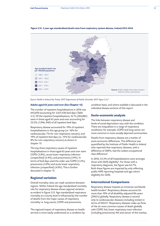

#### **Figure 2.15. 5 year age-standardised death rates from respiratory system disease, Ireland 2012-2016**

*Source: Health in Ireland, Key Trends, 2017, Department of Health, December 2017. Figure 2.5a 2*

# *Adults aged 65 years and over (See Chapter 15)*

The number of inpatient hospitalisations in 2016 was 643,850 accounting for 3,651,436 bed days (Table 2.5). Of the inpatient hospitalisations, 32 % (204,882) were in those aged 65 years and over accounting for 53.2% (1,946, 040) of all inpatient bed days.

Respiratory disease accounted for 19% of inpatient hospitalisations in this age group (vs. 16% for cardiovascular, 7% for non-respiratory cancers), and 19% of inpatient bed days (vs. 15% for cardiovascular, 8% for non-respiratory cancers) as shown in chapter 15.

The top three respiratory causes of inpatient hospitalisations in those aged 65 years and over were COPD (5.8%), acute lower respiratory infection (unspecified) (4.4%), and pneumonia (3.9%). In terms of bed days used the order was COPD (5.2%), pneumonia (5.0%) and acute lower respiratory infection (unspecified) (4.0%). This is further discussed in chapter 15.

# **Regional variation**

Overall mortality rates can mask variations between regions. Within Ireland the age standardised mortality rate for respiratory disease shows regional variation as evident in figure 2.15. Age-standardised respiratory mortality at a county level is influenced by the number of deaths from the major causes of respiratory mortality i.e. lung cancer, COPD and pneumonia.

The regional impact of respiratory disease on health services is more easily understood on a condition by condition basis, and where available is discussed in the individual disease sections of this report.

## **Socio-economic analysis**

The links between respiratory disease and levels of social deprivation vary with the condition. There are inequalities in a range of respiratory conditions; for example, COPD and lung cancer are more common in more socially deprived communities.

Deaths from respiratory disease are a marker of socio-economic differences. This difference was quantified by the Institute of Public Health in Ireland who reported that respiratory diseases, with a difference of 200%, had the widest occupational class difference*<sup>7</sup>* .

In 2016, 55.3% of all hospitalisations were amongst those with GMS eligibility*<sup>6</sup>* . For those with a respiratory diagnosis, the figure was 63.7%. Both these figures are impacted by only reflecting public HIPE reporting hospitals and age cohort eligibility for GMS.

#### **International Comparisons**

Respiratory disease imposes an immense worldwide health burden*<sup>8</sup>* . Respiratory disease accounts for more than 10% of all disability-adjusted life-years (DALYs) globally. Respiratory disease is second only to cardiovascular diseases (including stroke) in terms of DALYs*<sup>9</sup>* . Respiratory diseases make up three of the six most common causes of death globally with COPD 3rd, lower respiratory tract infection (including pneumonia) 4th and cancer of the trachea,